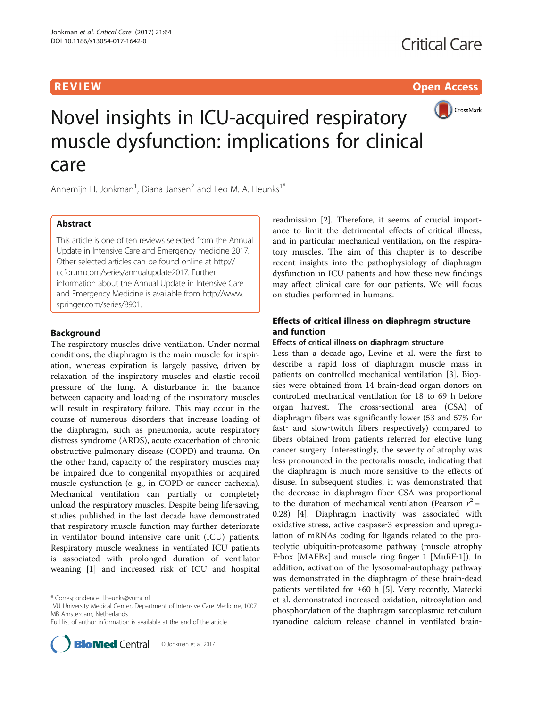# **REVIEW CONTROL** CONTROL CONTROL CONTROL CONTROL CONTROL CONTROL CONTROL CONTROL CONTROL CONTROL CONTROL CONTROL CONTROL CONTROL CONTROL CONTROL CONTROL CONTROL CONTROL CONTROL CONTROL CONTROL CONTROL CONTROL CONTROL CONTR



# Novel insights in ICU-acquired respiratory muscle dysfunction: implications for clinical care

Annemijn H. Jonkman<sup>1</sup>, Diana Jansen $^2$  and Leo M. A. Heunks<sup>1\*</sup>

# Abstract

This article is one of ten reviews selected from the Annual Update in Intensive Care and Emergency medicine 2017. Other selected articles can be found online at [http://](http://www.biomedcentral.com/collections/annualupdate2017) [ccforum.com/series/annualupdate2017](http://www.biomedcentral.com/collections/annualupdate2017). Further information about the Annual Update in Intensive Care and Emergency Medicine is available from [http://www.](http://www.springer.com/series/8901) [springer.com/series/8901](http://www.springer.com/series/8901).

# Background

The respiratory muscles drive ventilation. Under normal conditions, the diaphragm is the main muscle for inspiration, whereas expiration is largely passive, driven by relaxation of the inspiratory muscles and elastic recoil pressure of the lung. A disturbance in the balance between capacity and loading of the inspiratory muscles will result in respiratory failure. This may occur in the course of numerous disorders that increase loading of the diaphragm, such as pneumonia, acute respiratory distress syndrome (ARDS), acute exacerbation of chronic obstructive pulmonary disease (COPD) and trauma. On the other hand, capacity of the respiratory muscles may be impaired due to congenital myopathies or acquired muscle dysfunction (e. g., in COPD or cancer cachexia). Mechanical ventilation can partially or completely unload the respiratory muscles. Despite being life‐saving, studies published in the last decade have demonstrated that respiratory muscle function may further deteriorate in ventilator bound intensive care unit (ICU) patients. Respiratory muscle weakness in ventilated ICU patients is associated with prolonged duration of ventilator weaning [[1\]](#page-5-0) and increased risk of ICU and hospital

Full list of author information is available at the end of the article



readmission [[2](#page-5-0)]. Therefore, it seems of crucial importance to limit the detrimental effects of critical illness, and in particular mechanical ventilation, on the respiratory muscles. The aim of this chapter is to describe recent insights into the pathophysiology of diaphragm dysfunction in ICU patients and how these new findings may affect clinical care for our patients. We will focus on studies performed in humans.

# Effects of critical illness on diaphragm structure and function

# Effects of critical illness on diaphragm structure

Less than a decade ago, Levine et al. were the first to describe a rapid loss of diaphragm muscle mass in patients on controlled mechanical ventilation [[3\]](#page-5-0). Biopsies were obtained from 14 brain‐dead organ donors on controlled mechanical ventilation for 18 to 69 h before organ harvest. The cross‐sectional area (CSA) of diaphragm fibers was significantly lower (53 and 57% for fast- and slow-twitch fibers respectively) compared to fibers obtained from patients referred for elective lung cancer surgery. Interestingly, the severity of atrophy was less pronounced in the pectoralis muscle, indicating that the diaphragm is much more sensitive to the effects of disuse. In subsequent studies, it was demonstrated that the decrease in diaphragm fiber CSA was proportional to the duration of mechanical ventilation (Pearson  $r^2$  = 0.28) [\[4](#page-5-0)]. Diaphragm inactivity was associated with oxidative stress, active caspase‐3 expression and upregulation of mRNAs coding for ligands related to the proteolytic ubiquitin‐proteasome pathway (muscle atrophy F‐box [MAFBx] and muscle ring finger 1 [MuRF‐1]). In addition, activation of the lysosomal‐autophagy pathway was demonstrated in the diaphragm of these brain‐dead patients ventilated for  $\pm 60$  h [[5\]](#page-5-0). Very recently, Matecki et al. demonstrated increased oxidation, nitrosylation and phosphorylation of the diaphragm sarcoplasmic reticulum ryanodine calcium release channel in ventilated brain‐

<sup>\*</sup> Correspondence: [l.heunks@vumc.nl](mailto:l.heunks@vumc.nl) <sup>1</sup>

<sup>&</sup>lt;sup>1</sup>VU University Medical Center, Department of Intensive Care Medicine, 1007 MB Amsterdam, Netherlands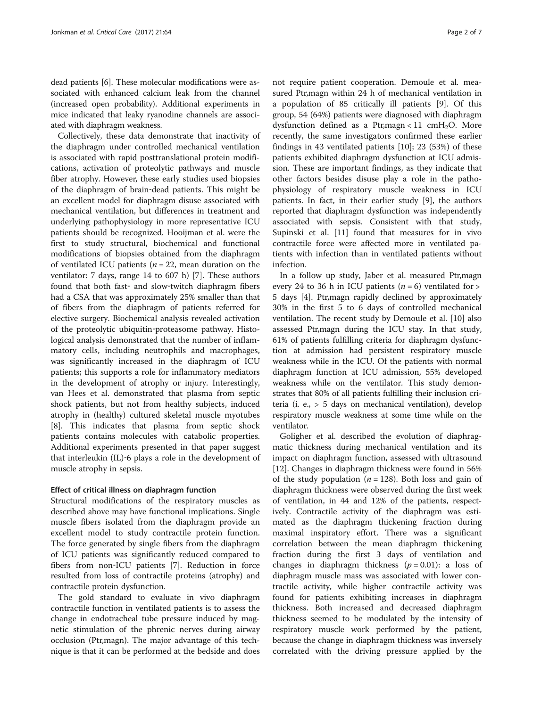dead patients [\[6](#page-5-0)]. These molecular modifications were associated with enhanced calcium leak from the channel (increased open probability). Additional experiments in mice indicated that leaky ryanodine channels are associated with diaphragm weakness.

Collectively, these data demonstrate that inactivity of the diaphragm under controlled mechanical ventilation is associated with rapid posttranslational protein modifications, activation of proteolytic pathways and muscle fiber atrophy. However, these early studies used biopsies of the diaphragm of brain‐dead patients. This might be an excellent model for diaphragm disuse associated with mechanical ventilation, but differences in treatment and underlying pathophysiology in more representative ICU patients should be recognized. Hooijman et al. were the first to study structural, biochemical and functional modifications of biopsies obtained from the diaphragm of ventilated ICU patients ( $n = 22$ , mean duration on the ventilator: 7 days, range 14 to 607 h) [\[7](#page-5-0)]. These authors found that both fast- and slow-twitch diaphragm fibers had a CSA that was approximately 25% smaller than that of fibers from the diaphragm of patients referred for elective surgery. Biochemical analysis revealed activation of the proteolytic ubiquitin‐proteasome pathway. Histological analysis demonstrated that the number of inflammatory cells, including neutrophils and macrophages, was significantly increased in the diaphragm of ICU patients; this supports a role for inflammatory mediators in the development of atrophy or injury. Interestingly, van Hees et al. demonstrated that plasma from septic shock patients, but not from healthy subjects, induced atrophy in (healthy) cultured skeletal muscle myotubes [[8\]](#page-5-0). This indicates that plasma from septic shock patients contains molecules with catabolic properties. Additional experiments presented in that paper suggest that interleukin (IL)‐6 plays a role in the development of muscle atrophy in sepsis.

# Effect of critical illness on diaphragm function

Structural modifications of the respiratory muscles as described above may have functional implications. Single muscle fibers isolated from the diaphragm provide an excellent model to study contractile protein function. The force generated by single fibers from the diaphragm of ICU patients was significantly reduced compared to fibers from non‐ICU patients [\[7](#page-5-0)]. Reduction in force resulted from loss of contractile proteins (atrophy) and contractile protein dysfunction.

The gold standard to evaluate in vivo diaphragm contractile function in ventilated patients is to assess the change in endotracheal tube pressure induced by magnetic stimulation of the phrenic nerves during airway occlusion (Ptr,magn). The major advantage of this technique is that it can be performed at the bedside and does

not require patient cooperation. Demoule et al. measured Ptr,magn within 24 h of mechanical ventilation in a population of 85 critically ill patients [[9\]](#page-5-0). Of this group, 54 (64%) patients were diagnosed with diaphragm dysfunction defined as a Ptr, magn <  $11$  cmH<sub>2</sub>O. More recently, the same investigators confirmed these earlier findings in 43 ventilated patients [[10](#page-5-0)]; 23 (53%) of these patients exhibited diaphragm dysfunction at ICU admission. These are important findings, as they indicate that other factors besides disuse play a role in the pathophysiology of respiratory muscle weakness in ICU patients. In fact, in their earlier study [\[9](#page-5-0)], the authors reported that diaphragm dysfunction was independently associated with sepsis. Consistent with that study, Supinski et al. [[11](#page-5-0)] found that measures for in vivo contractile force were affected more in ventilated patients with infection than in ventilated patients without infection.

In a follow up study, Jaber et al. measured Ptr,magn every 24 to 36 h in ICU patients ( $n = 6$ ) ventilated for > 5 days [[4](#page-5-0)]. Ptr,magn rapidly declined by approximately 30% in the first 5 to 6 days of controlled mechanical ventilation. The recent study by Demoule et al. [\[10](#page-5-0)] also assessed Ptr,magn during the ICU stay. In that study, 61% of patients fulfilling criteria for diaphragm dysfunction at admission had persistent respiratory muscle weakness while in the ICU. Of the patients with normal diaphragm function at ICU admission, 55% developed weakness while on the ventilator. This study demonstrates that 80% of all patients fulfilling their inclusion criteria (i. e., > 5 days on mechanical ventilation), develop respiratory muscle weakness at some time while on the ventilator.

Goligher et al. described the evolution of diaphragmatic thickness during mechanical ventilation and its impact on diaphragm function, assessed with ultrasound [[12\]](#page-5-0). Changes in diaphragm thickness were found in 56% of the study population ( $n = 128$ ). Both loss and gain of diaphragm thickness were observed during the first week of ventilation, in 44 and 12% of the patients, respectively. Contractile activity of the diaphragm was estimated as the diaphragm thickening fraction during maximal inspiratory effort. There was a significant correlation between the mean diaphragm thickening fraction during the first 3 days of ventilation and changes in diaphragm thickness  $(p = 0.01)$ : a loss of diaphragm muscle mass was associated with lower contractile activity, while higher contractile activity was found for patients exhibiting increases in diaphragm thickness. Both increased and decreased diaphragm thickness seemed to be modulated by the intensity of respiratory muscle work performed by the patient, because the change in diaphragm thickness was inversely correlated with the driving pressure applied by the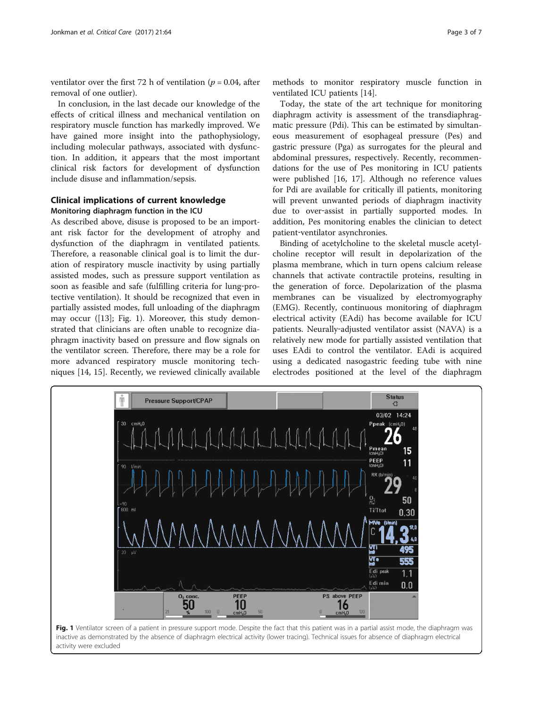ventilator over the first 72 h of ventilation ( $p = 0.04$ , after removal of one outlier).

In conclusion, in the last decade our knowledge of the effects of critical illness and mechanical ventilation on respiratory muscle function has markedly improved. We have gained more insight into the pathophysiology, including molecular pathways, associated with dysfunction. In addition, it appears that the most important clinical risk factors for development of dysfunction include disuse and inflammation/sepsis.

# Clinical implications of current knowledge Monitoring diaphragm function in the ICU

As described above, disuse is proposed to be an important risk factor for the development of atrophy and dysfunction of the diaphragm in ventilated patients. Therefore, a reasonable clinical goal is to limit the duration of respiratory muscle inactivity by using partially assisted modes, such as pressure support ventilation as soon as feasible and safe (fulfilling criteria for lung-protective ventilation). It should be recognized that even in partially assisted modes, full unloading of the diaphragm may occur ([\[13](#page-5-0)]; Fig. 1). Moreover, this study demonstrated that clinicians are often unable to recognize diaphragm inactivity based on pressure and flow signals on the ventilator screen. Therefore, there may be a role for more advanced respiratory muscle monitoring techniques [[14](#page-5-0), [15\]](#page-5-0). Recently, we reviewed clinically available

methods to monitor respiratory muscle function in ventilated ICU patients [[14\]](#page-5-0).

Today, the state of the art technique for monitoring diaphragm activity is assessment of the transdiaphragmatic pressure (Pdi). This can be estimated by simultaneous measurement of esophageal pressure (Pes) and gastric pressure (Pga) as surrogates for the pleural and abdominal pressures, respectively. Recently, recommendations for the use of Pes monitoring in ICU patients were published [\[16,](#page-5-0) [17\]](#page-6-0). Although no reference values for Pdi are available for critically ill patients, monitoring will prevent unwanted periods of diaphragm inactivity due to over‐assist in partially supported modes. In addition, Pes monitoring enables the clinician to detect patient‐ventilator asynchronies.

Binding of acetylcholine to the skeletal muscle acetylcholine receptor will result in depolarization of the plasma membrane, which in turn opens calcium release channels that activate contractile proteins, resulting in the generation of force. Depolarization of the plasma membranes can be visualized by electromyography (EMG). Recently, continuous monitoring of diaphragm electrical activity (EAdi) has become available for ICU patients. Neurally‐adjusted ventilator assist (NAVA) is a relatively new mode for partially assisted ventilation that uses EAdi to control the ventilator. EAdi is acquired using a dedicated nasogastric feeding tube with nine electrodes positioned at the level of the diaphragm

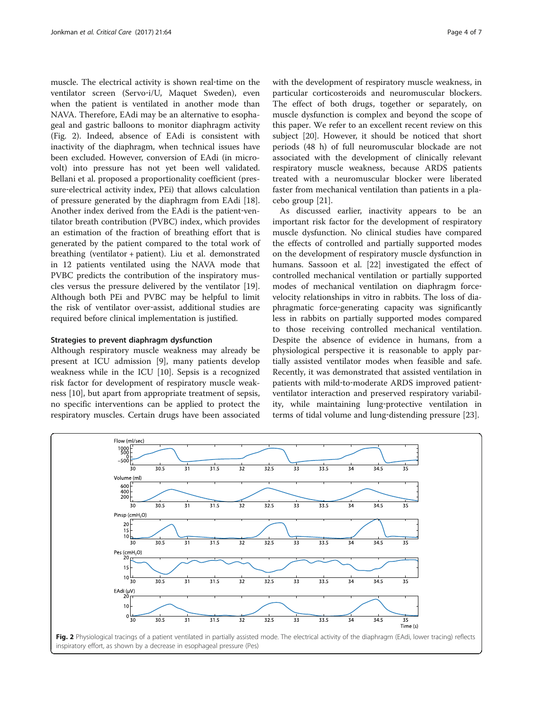muscle. The electrical activity is shown real‐time on the ventilator screen (Servo-i/U, Maquet Sweden), even when the patient is ventilated in another mode than NAVA. Therefore, EAdi may be an alternative to esophageal and gastric balloons to monitor diaphragm activity (Fig. 2). Indeed, absence of EAdi is consistent with inactivity of the diaphragm, when technical issues have been excluded. However, conversion of EAdi (in microvolt) into pressure has not yet been well validated. Bellani et al. proposed a proportionality coefficient (pressure-electrical activity index, PEi) that allows calculation of pressure generated by the diaphragm from EAdi [\[18](#page-6-0)]. Another index derived from the EAdi is the patient‐ventilator breath contribution (PVBC) index, which provides an estimation of the fraction of breathing effort that is generated by the patient compared to the total work of breathing (ventilator + patient). Liu et al. demonstrated in 12 patients ventilated using the NAVA mode that PVBC predicts the contribution of the inspiratory muscles versus the pressure delivered by the ventilator [\[19](#page-6-0)]. Although both PEi and PVBC may be helpful to limit the risk of ventilator over‐assist, additional studies are required before clinical implementation is justified.

## Strategies to prevent diaphragm dysfunction

Although respiratory muscle weakness may already be present at ICU admission [[9\]](#page-5-0), many patients develop weakness while in the ICU [[10\]](#page-5-0). Sepsis is a recognized risk factor for development of respiratory muscle weakness [\[10\]](#page-5-0), but apart from appropriate treatment of sepsis, no specific interventions can be applied to protect the respiratory muscles. Certain drugs have been associated

with the development of respiratory muscle weakness, in particular corticosteroids and neuromuscular blockers. The effect of both drugs, together or separately, on muscle dysfunction is complex and beyond the scope of this paper. We refer to an excellent recent review on this subject [\[20](#page-6-0)]. However, it should be noticed that short periods (48 h) of full neuromuscular blockade are not associated with the development of clinically relevant respiratory muscle weakness, because ARDS patients treated with a neuromuscular blocker were liberated faster from mechanical ventilation than patients in a placebo group [[21\]](#page-6-0).

As discussed earlier, inactivity appears to be an important risk factor for the development of respiratory muscle dysfunction. No clinical studies have compared the effects of controlled and partially supported modes on the development of respiratory muscle dysfunction in humans. Sassoon et al. [\[22\]](#page-6-0) investigated the effect of controlled mechanical ventilation or partially supported modes of mechanical ventilation on diaphragm forcevelocity relationships in vitro in rabbits. The loss of diaphragmatic force‐generating capacity was significantly less in rabbits on partially supported modes compared to those receiving controlled mechanical ventilation. Despite the absence of evidence in humans, from a physiological perspective it is reasonable to apply partially assisted ventilator modes when feasible and safe. Recently, it was demonstrated that assisted ventilation in patients with mild-to-moderate ARDS improved patientventilator interaction and preserved respiratory variability, while maintaining lung‐protective ventilation in terms of tidal volume and lung‐distending pressure [\[23](#page-6-0)].

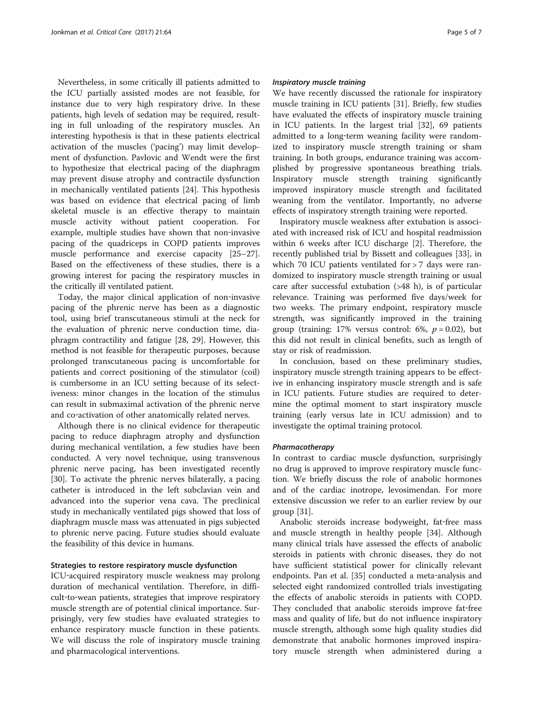Nevertheless, in some critically ill patients admitted to the ICU partially assisted modes are not feasible, for instance due to very high respiratory drive. In these patients, high levels of sedation may be required, resulting in full unloading of the respiratory muscles. An interesting hypothesis is that in these patients electrical activation of the muscles ('pacing') may limit development of dysfunction. Pavlovic and Wendt were the first to hypothesize that electrical pacing of the diaphragm may prevent disuse atrophy and contractile dysfunction in mechanically ventilated patients [\[24\]](#page-6-0). This hypothesis was based on evidence that electrical pacing of limb skeletal muscle is an effective therapy to maintain muscle activity without patient cooperation. For example, multiple studies have shown that non-invasive pacing of the quadriceps in COPD patients improves muscle performance and exercise capacity [[25](#page-6-0)–[27](#page-6-0)]. Based on the effectiveness of these studies, there is a growing interest for pacing the respiratory muscles in the critically ill ventilated patient.

Today, the major clinical application of non-invasive pacing of the phrenic nerve has been as a diagnostic tool, using brief transcutaneous stimuli at the neck for the evaluation of phrenic nerve conduction time, diaphragm contractility and fatigue [[28](#page-6-0), [29](#page-6-0)]. However, this method is not feasible for therapeutic purposes, because prolonged transcutaneous pacing is uncomfortable for patients and correct positioning of the stimulator (coil) is cumbersome in an ICU setting because of its selectiveness: minor changes in the location of the stimulus can result in submaximal activation of the phrenic nerve and co-activation of other anatomically related nerves.

Although there is no clinical evidence for therapeutic pacing to reduce diaphragm atrophy and dysfunction during mechanical ventilation, a few studies have been conducted. A very novel technique, using transvenous phrenic nerve pacing, has been investigated recently [[30\]](#page-6-0). To activate the phrenic nerves bilaterally, a pacing catheter is introduced in the left subclavian vein and advanced into the superior vena cava. The preclinical study in mechanically ventilated pigs showed that loss of diaphragm muscle mass was attenuated in pigs subjected to phrenic nerve pacing. Future studies should evaluate the feasibility of this device in humans.

# Strategies to restore respiratory muscle dysfunction

ICU‐acquired respiratory muscle weakness may prolong duration of mechanical ventilation. Therefore, in difficult-to-wean patients, strategies that improve respiratory muscle strength are of potential clinical importance. Surprisingly, very few studies have evaluated strategies to enhance respiratory muscle function in these patients. We will discuss the role of inspiratory muscle training and pharmacological interventions.

We have recently discussed the rationale for inspiratory muscle training in ICU patients [[31](#page-6-0)]. Briefly, few studies have evaluated the effects of inspiratory muscle training in ICU patients. In the largest trial [\[32](#page-6-0)], 69 patients admitted to a long‐term weaning facility were randomized to inspiratory muscle strength training or sham training. In both groups, endurance training was accomplished by progressive spontaneous breathing trials. Inspiratory muscle strength training significantly improved inspiratory muscle strength and facilitated weaning from the ventilator. Importantly, no adverse effects of inspiratory strength training were reported.

Inspiratory muscle weakness after extubation is associated with increased risk of ICU and hospital readmission within 6 weeks after ICU discharge [\[2\]](#page-5-0). Therefore, the recently published trial by Bissett and colleagues [\[33\]](#page-6-0), in which 70 ICU patients ventilated for > 7 days were randomized to inspiratory muscle strength training or usual care after successful extubation (>48 h), is of particular relevance. Training was performed five days/week for two weeks. The primary endpoint, respiratory muscle strength, was significantly improved in the training group (training: 17% versus control: 6%,  $p = 0.02$ ), but this did not result in clinical benefits, such as length of stay or risk of readmission.

In conclusion, based on these preliminary studies, inspiratory muscle strength training appears to be effective in enhancing inspiratory muscle strength and is safe in ICU patients. Future studies are required to determine the optimal moment to start inspiratory muscle training (early versus late in ICU admission) and to investigate the optimal training protocol.

In contrast to cardiac muscle dysfunction, surprisingly no drug is approved to improve respiratory muscle function. We briefly discuss the role of anabolic hormones and of the cardiac inotrope, levosimendan. For more extensive discussion we refer to an earlier review by our group [[31\]](#page-6-0).

Anabolic steroids increase bodyweight, fat‐free mass and muscle strength in healthy people [[34\]](#page-6-0). Although many clinical trials have assessed the effects of anabolic steroids in patients with chronic diseases, they do not have sufficient statistical power for clinically relevant endpoints. Pan et al. [[35](#page-6-0)] conducted a meta‐analysis and selected eight randomized controlled trials investigating the effects of anabolic steroids in patients with COPD. They concluded that anabolic steroids improve fat-free mass and quality of life, but do not influence inspiratory muscle strength, although some high quality studies did demonstrate that anabolic hormones improved inspiratory muscle strength when administered during a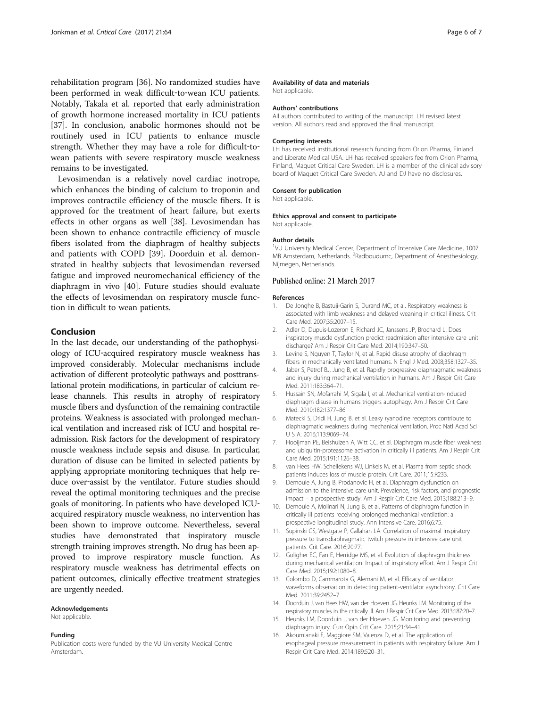<span id="page-5-0"></span>rehabilitation program [\[36](#page-6-0)]. No randomized studies have been performed in weak difficult-to-wean ICU patients. Notably, Takala et al. reported that early administration of growth hormone increased mortality in ICU patients [[37\]](#page-6-0). In conclusion, anabolic hormones should not be routinely used in ICU patients to enhance muscle strength. Whether they may have a role for difficult-towean patients with severe respiratory muscle weakness remains to be investigated.

Levosimendan is a relatively novel cardiac inotrope, which enhances the binding of calcium to troponin and improves contractile efficiency of the muscle fibers. It is approved for the treatment of heart failure, but exerts effects in other organs as well [[38\]](#page-6-0). Levosimendan has been shown to enhance contractile efficiency of muscle fibers isolated from the diaphragm of healthy subjects and patients with COPD [[39](#page-6-0)]. Doorduin et al. demonstrated in healthy subjects that levosimendan reversed fatigue and improved neuromechanical efficiency of the diaphragm in vivo [[40](#page-6-0)]. Future studies should evaluate the effects of levosimendan on respiratory muscle function in difficult to wean patients.

# Conclusion

In the last decade, our understanding of the pathophysiology of ICU‐acquired respiratory muscle weakness has improved considerably. Molecular mechanisms include activation of different proteolytic pathways and posttranslational protein modifications, in particular of calcium release channels. This results in atrophy of respiratory muscle fibers and dysfunction of the remaining contractile proteins. Weakness is associated with prolonged mechanical ventilation and increased risk of ICU and hospital readmission. Risk factors for the development of respiratory muscle weakness include sepsis and disuse. In particular, duration of disuse can be limited in selected patients by applying appropriate monitoring techniques that help reduce over‐assist by the ventilator. Future studies should reveal the optimal monitoring techniques and the precise goals of monitoring. In patients who have developed ICU‐ acquired respiratory muscle weakness, no intervention has been shown to improve outcome. Nevertheless, several studies have demonstrated that inspiratory muscle strength training improves strength. No drug has been approved to improve respiratory muscle function. As respiratory muscle weakness has detrimental effects on patient outcomes, clinically effective treatment strategies are urgently needed.

#### Acknowledgements

Not applicable.

#### Funding

Publication costs were funded by the VU University Medical Centre Amsterdam.

### Availability of data and materials

Not applicable.

#### Authors' contributions

All authors contributed to writing of the manuscript. LH revised latest version. All authors read and approved the final manuscript.

### Competing interests

LH has received institutional research funding from Orion Pharma, Finland and Liberate Medical USA. LH has received speakers fee from Orion Pharma, Finland, Maquet Critical Care Sweden. LH is a member of the clinical advisory board of Maquet Critical Care Sweden. AJ and DJ have no disclosures.

#### Consent for publication

Not applicable.

#### Ethics approval and consent to participate

Not applicable.

#### Author details

<sup>1</sup>VU University Medical Center, Department of Intensive Care Medicine, 1007 MB Amsterdam, Netherlands. <sup>2</sup>Radboudumc, Department of Anesthesiology, Nijmegen, Netherlands.

### Published online: 21 March 2017

#### References

- 1. De Jonghe B, Bastuji-Garin S, Durand MC, et al. Respiratory weakness is associated with limb weakness and delayed weaning in critical illness. Crit Care Med. 2007;35:2007–15.
- 2. Adler D, Dupuis-Lozeron E, Richard JC, Janssens JP, Brochard L. Does inspiratory muscle dysfunction predict readmission after intensive care unit discharge? Am J Respir Crit Care Med. 2014;190:347–50.
- 3. Levine S, Nguyen T, Taylor N, et al. Rapid disuse atrophy of diaphragm fibers in mechanically ventilated humans. N Engl J Med. 2008;358:1327–35.
- 4. Jaber S, Petrof BJ, Jung B, et al. Rapidly progressive diaphragmatic weakness and injury during mechanical ventilation in humans. Am J Respir Crit Care Med. 2011;183:364–71.
- 5. Hussain SN, Mofarrahi M, Sigala I, et al. Mechanical ventilation-induced diaphragm disuse in humans triggers autophagy. Am J Respir Crit Care Med. 2010;182:1377–86.
- 6. Matecki S, Dridi H, Jung B, et al. Leaky ryanodine receptors contribute to diaphragmatic weakness during mechanical ventilation. Proc Natl Acad Sci U S A. 2016;113:9069–74.
- 7. Hooijman PE, Beishuizen A, Witt CC, et al. Diaphragm muscle fiber weakness and ubiquitin-proteasome activation in critically ill patients. Am J Respir Crit Care Med. 2015;191:1126–38.
- 8. van Hees HW, Schellekens WJ, Linkels M, et al. Plasma from septic shock patients induces loss of muscle protein. Crit Care. 2011;15:R233.
- 9. Demoule A, Jung B, Prodanovic H, et al. Diaphragm dysfunction on admission to the intensive care unit. Prevalence, risk factors, and prognostic impact – a prospective study. Am J Respir Crit Care Med. 2013;188:213–9.
- 10. Demoule A, Molinari N, Jung B, et al. Patterns of diaphragm function in critically ill patients receiving prolonged mechanical ventilation: a prospective longitudinal study. Ann Intensive Care. 2016;6:75.
- 11. Supinski GS, Westgate P, Callahan LA. Correlation of maximal inspiratory pressure to transdiaphragmatic twitch pressure in intensive care unit patients. Crit Care. 2016;20:77.
- 12. Goligher EC, Fan E, Herridge MS, et al. Evolution of diaphragm thickness during mechanical ventilation. Impact of inspiratory effort. Am J Respir Crit Care Med. 2015;192:1080–8.
- 13. Colombo D, Cammarota G, Alemani M, et al. Efficacy of ventilator waveforms observation in detecting patient-ventilator asynchrony. Crit Care Med. 2011;39:2452–7.
- 14. Doorduin J, van Hees HW, van der Hoeven JG, Heunks LM. Monitoring of the respiratory muscles in the critically ill. Am J Respir Crit Care Med. 2013;187:20–7.
- 15. Heunks LM, Doorduin J, van der Hoeven JG. Monitoring and preventing diaphragm injury. Curr Opin Crit Care. 2015;21:34–41.
- 16. Akoumianaki E, Maggiore SM, Valenza D, et al. The application of esophageal pressure measurement in patients with respiratory failure. Am J Respir Crit Care Med. 2014;189:520–31.